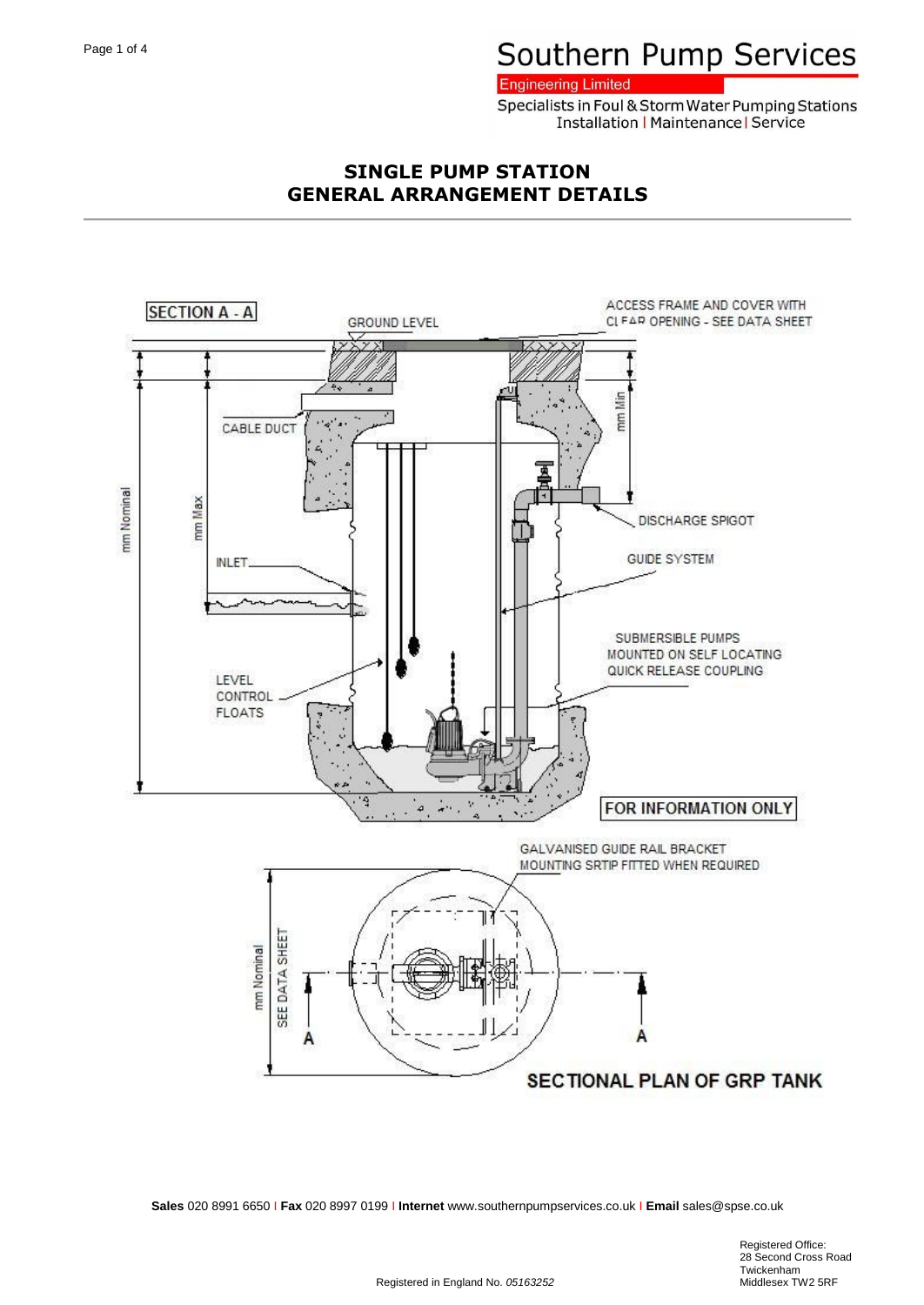**Engineering Limited** 

Specialists in Foul & Storm Water Pumping Stations **Installation | Maintenance | Service** 

## **SINGLE PUMP STATION GENERAL ARRANGEMENT DETAILS**

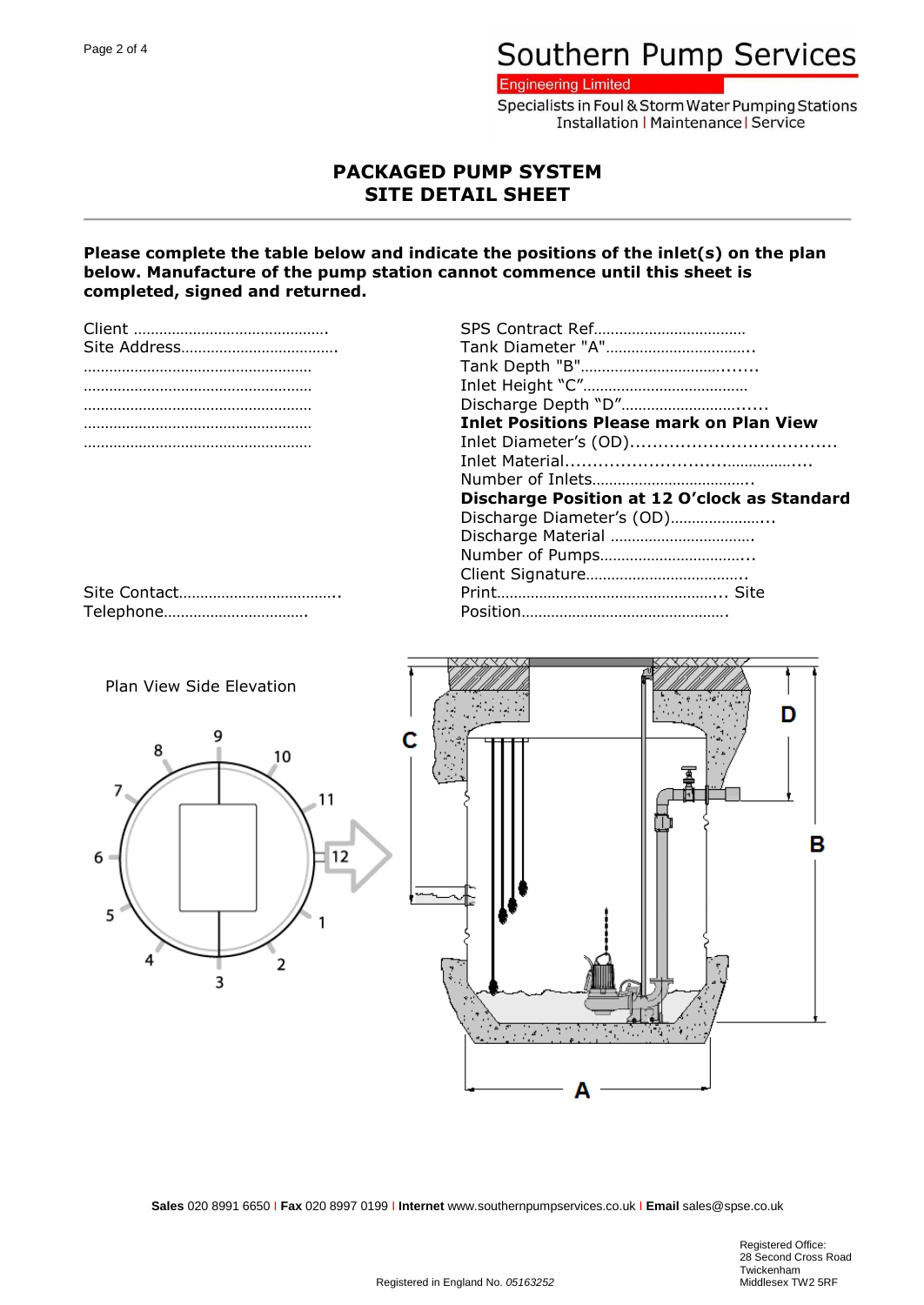**Engineering Limited** 

Specialists in Foul & Storm Water Pumping Stations **Installation | Maintenance | Service** 

### **PACKAGED PUMP SYSTEM SITE DETAIL SHEET**

#### **Please complete the table below and indicate the positions of the inlet(s) on the plan below. Manufacture of the pump station cannot commence until this sheet is completed, signed and returned.**

| <b>Inlet Positions Please mark on Plan View</b> |  |  |  |
|-------------------------------------------------|--|--|--|
|                                                 |  |  |  |
|                                                 |  |  |  |
|                                                 |  |  |  |
| Discharge Position at 12 O'clock as Standard    |  |  |  |
| Discharge Diameter's (OD)                       |  |  |  |
| Discharge Material                              |  |  |  |
|                                                 |  |  |  |
|                                                 |  |  |  |
|                                                 |  |  |  |

Site Contact……………………………….. Print……………………………………………... Site Telephone……………………………. Position………………………………………….

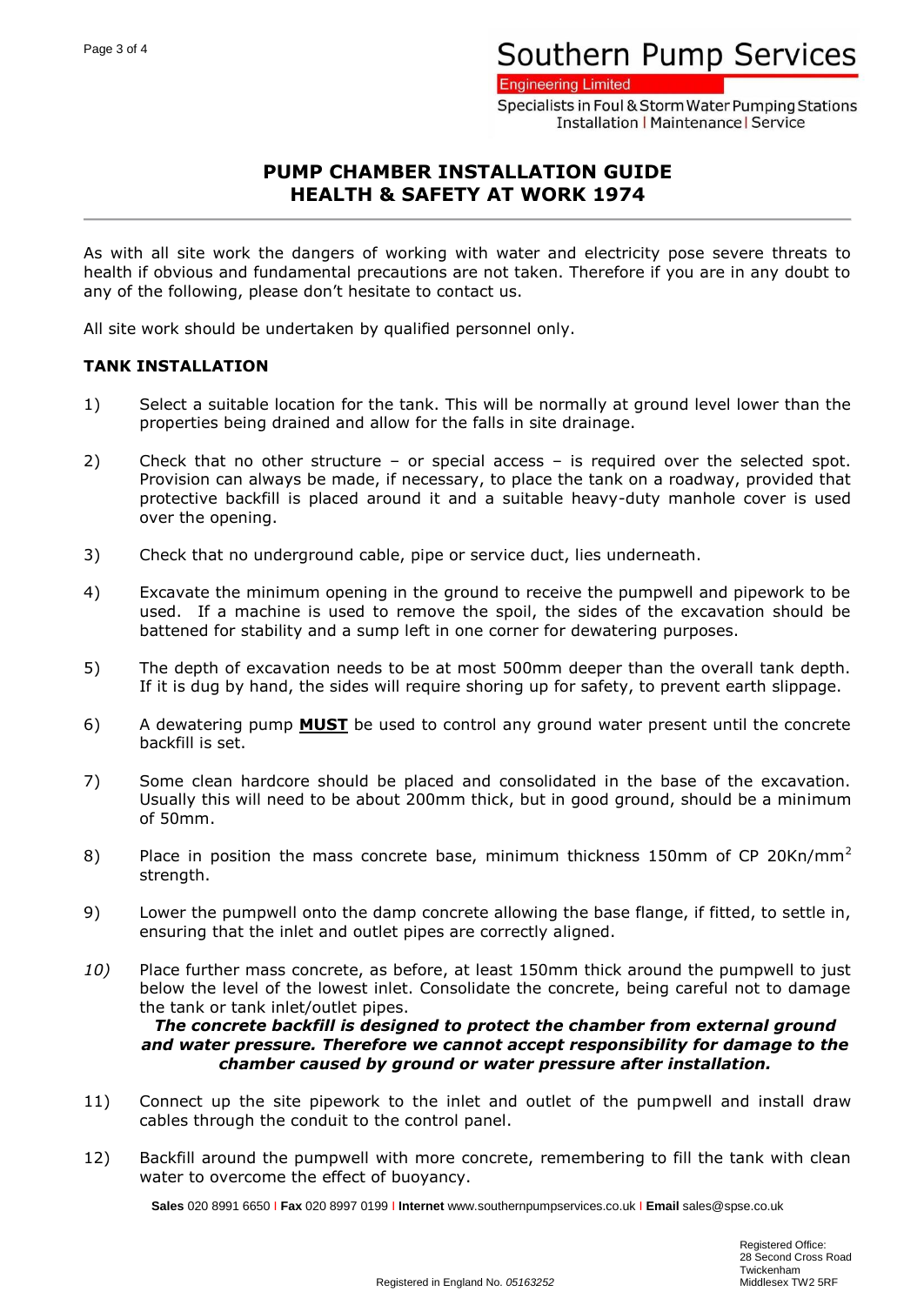**Engineering Limited** 

Specialists in Foul & Storm Water Pumping Stations **Installation | Maintenance | Service** 

## **PUMP CHAMBER INSTALLATION GUIDE HEALTH & SAFETY AT WORK 1974**

As with all site work the dangers of working with water and electricity pose severe threats to health if obvious and fundamental precautions are not taken. Therefore if you are in any doubt to any of the following, please don't hesitate to contact us.

All site work should be undertaken by qualified personnel only.

### **TANK INSTALLATION**

- 1) Select a suitable location for the tank. This will be normally at ground level lower than the properties being drained and allow for the falls in site drainage.
- 2) Check that no other structure or special access is required over the selected spot. Provision can always be made, if necessary, to place the tank on a roadway, provided that protective backfill is placed around it and a suitable heavy-duty manhole cover is used over the opening.
- 3) Check that no underground cable, pipe or service duct, lies underneath.
- 4) Excavate the minimum opening in the ground to receive the pumpwell and pipework to be used. If a machine is used to remove the spoil, the sides of the excavation should be battened for stability and a sump left in one corner for dewatering purposes.
- 5) The depth of excavation needs to be at most 500mm deeper than the overall tank depth. If it is dug by hand, the sides will require shoring up for safety, to prevent earth slippage.
- 6) A dewatering pump **MUST** be used to control any ground water present until the concrete backfill is set.
- 7) Some clean hardcore should be placed and consolidated in the base of the excavation. Usually this will need to be about 200mm thick, but in good ground, should be a minimum of 50mm.
- 8) Place in position the mass concrete base, minimum thickness 150mm of CP 20Kn/mm<sup>2</sup> strength.
- 9) Lower the pumpwell onto the damp concrete allowing the base flange, if fitted, to settle in, ensuring that the inlet and outlet pipes are correctly aligned.
- *10)* Place further mass concrete, as before, at least 150mm thick around the pumpwell to just below the level of the lowest inlet. Consolidate the concrete, being careful not to damage the tank or tank inlet/outlet pipes.

*The concrete backfill is designed to protect the chamber from external ground and water pressure. Therefore we cannot accept responsibility for damage to the chamber caused by ground or water pressure after installation.*

- 11) Connect up the site pipework to the inlet and outlet of the pumpwell and install draw cables through the conduit to the control panel.
- 12) Backfill around the pumpwell with more concrete, remembering to fill the tank with clean water to overcome the effect of buoyancy.